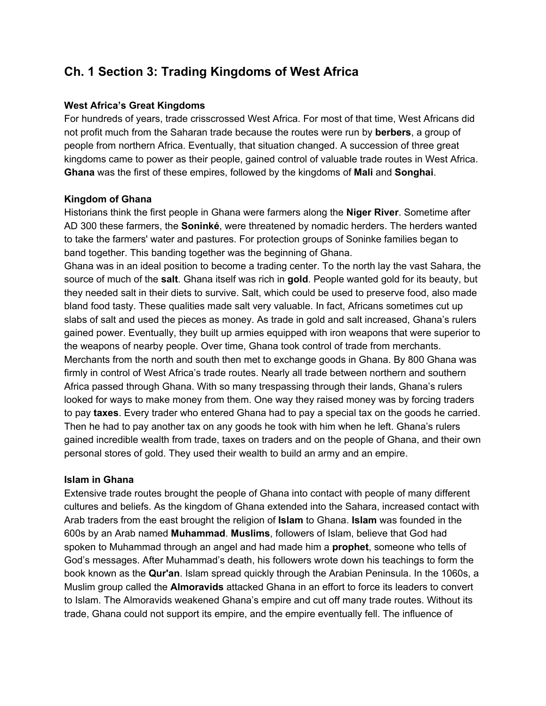# **Ch. 1 Section 3: Trading Kingdoms of West Africa**

## **West Africa's Great Kingdoms**

For hundreds of years, trade crisscrossed West Africa. For most of that time, West Africans did not profit much from the Saharan trade because the routes were run by **berbers**, a group of people from northern Africa. Eventually, that situation changed. A succession of three great kingdoms came to power as their people, gained control of valuable trade routes in West Africa. **Ghana**was the first of these empires, followed by the kingdoms of **Mali**and **Songhai**.

#### **Kingdom of Ghana**

Historians think the first people in Ghana were farmers along the **Niger River**. Sometime after AD 300 these farmers, the **Soninké**, were threatened by nomadic herders. The herders wanted to take the farmers' water and pastures. For protection groups of Soninke families began to band together. This banding together was the beginning of Ghana.

Ghana was in an ideal position to become a trading center. To the north lay the vast Sahara, the source of much of the **salt**. Ghana itself was rich in **gold**. People wanted gold for its beauty, but they needed salt in their diets to survive. Salt, which could be used to preserve food, also made bland food tasty. These qualities made salt very valuable. In fact, Africans sometimes cut up slabs of salt and used the pieces as money. As trade in gold and salt increased, Ghana's rulers gained power. Eventually, they built up armies equipped with iron weapons that were superior to the weapons of nearby people. Over time, Ghana took control of trade from merchants. Merchants from the north and south then met to exchange goods in Ghana. By 800 Ghana was firmly in control of West Africa's trade routes. Nearly all trade between northern and southern Africa passed through Ghana. With so many trespassing through their lands, Ghana's rulers looked for ways to make money from them. One way they raised money was by forcing traders to pay **taxes**. Every trader who entered Ghana had to pay a special tax on the goods he carried. Then he had to pay another tax on any goods he took with him when he left. Ghana's rulers gained incredible wealth from trade, taxes on traders and on the people of Ghana, and their own personal stores of gold. They used their wealth to build an army and an empire.

#### **Islam in Ghana**

Extensive trade routes brought the people of Ghana into contact with people of many different cultures and beliefs. As the kingdom of Ghana extended into the Sahara, increased contact with Arab traders from the east brought the religion of **Islam**to Ghana. **Islam**was founded in the 600s by an Arab named **Muhammad**. **Muslims**, followers of Islam, believe that God had spoken to Muhammad through an angel and had made him a **prophet**, someone who tells of God's messages. After Muhammad's death, his followers wrote down his teachings to form the book known as the **Qur'an**. Islam spread quickly through the Arabian Peninsula. In the 1060s, a Muslim group called the **Almoravids**attacked Ghana in an effort to force its leaders to convert to Islam. The Almoravids weakened Ghana's empire and cut off many trade routes. Without its trade, Ghana could not support its empire, and the empire eventually fell. The influence of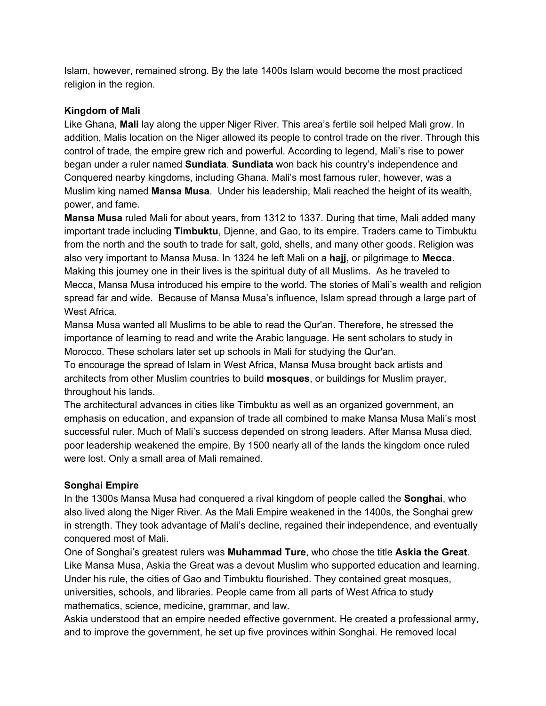Islam, however, remained strong. By the late 1400s Islam would become the most practiced religion in the region.

## **Kingdom of Mali**

Like Ghana, **Mali**lay along the upper Niger River. This area's fertile soil helped Mali grow. In addition, Malis location on the Niger allowed its people to control trade on the river. Through this control of trade, the empire grew rich and powerful. According to legend, Mali's rise to power began under a ruler named **Sundiata**. **Sundiata**won back his country's independence and Conquered nearby kingdoms, including Ghana. Mali's most famous ruler, however, was a Muslim king named **Mansa Musa**. Under his leadership, Mali reached the height of its wealth, power, and fame.

**Mansa Musa**ruled Mali for about years, from 1312 to 1337. During that time, Mali added many important trade including **Timbuktu**, Djenne, and Gao, to its empire. Traders came to Timbuktu from the north and the south to trade for salt, gold, shells, and many other goods. Religion was also very important to Mansa Musa. In 1324 he left Mali on a **hajj**, or pilgrimage to **Mecca**. Making this journey one in their lives is the spiritual duty of all Muslims. As he traveled to Mecca, Mansa Musa introduced his empire to the world. The stories of Mali's wealth and religion spread far and wide. Because of Mansa Musa's influence, Islam spread through a large part of West Africa.

Mansa Musa wanted all Muslims to be able to read the Qur'an. Therefore, he stressed the importance of learning to read and write the Arabic language. He sent scholars to study in Morocco. These scholars later set up schools in Mali for studying the Qur'an.

To encourage the spread of Islam in West Africa, Mansa Musa brought back artists and architects from other Muslim countries to build **mosques**, or buildings for Muslim prayer, throughout his lands.

The architectural advances in cities like Timbuktu as well as an organized government, an emphasis on education, and expansion of trade all combined to make Mansa Musa Mali's most successful ruler. Much of Mali's success depended on strong leaders. After Mansa Musa died, poor leadership weakened the empire. By 1500 nearly all of the lands the kingdom once ruled were lost. Only a small area of Mali remained.

# **Songhai Empire**

In the 1300s Mansa Musa had conquered a rival kingdom of people called the **Songhai**, who also lived along the Niger River. As the Mali Empire weakened in the 1400s, the Songhai grew in strength. They took advantage of Mali's decline, regained their independence, and eventually conquered most of Mali.

One of Songhai's greatest rulers was **Muhammad Ture**, who chose the title **Askia the Great**. Like Mansa Musa, Askia the Great was a devout Muslim who supported education and learning. Under his rule, the cities of Gao and Timbuktu flourished. They contained great mosques, universities, schools, and libraries. People came from all parts of West Africa to study mathematics, science, medicine, grammar, and law.

Askia understood that an empire needed effective government. He created a professional army, and to improve the government, he set up five provinces within Songhai. He removed local